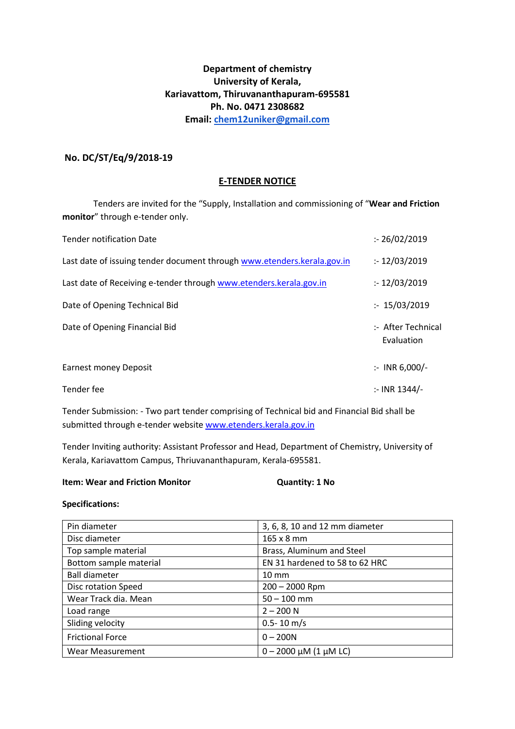# **Department of chemistry University of Kerala, Kariavattom, Thiruvananthapuram-695581 Ph. No. 0471 2308682 Email: [chem12uniker@gmail.com](mailto:chem12uniker@gmail.com)**

# **No. DC/ST/Eq/9/2018-19**

### **E-TENDER NOTICE**

Tenders are invited for the "Supply, Installation and commissioning of "**Wear and Friction monitor**" through e-tender only.

| <b>Tender notification Date</b>                                         | : 26/02/2019                     |
|-------------------------------------------------------------------------|----------------------------------|
| Last date of issuing tender document through www.etenders.kerala.gov.in | : 12/03/2019                     |
| Last date of Receiving e-tender through www.etenders.kerala.gov.in      | : 12/03/2019                     |
| Date of Opening Technical Bid                                           | : 15/03/2019                     |
| Date of Opening Financial Bid                                           | :- After Technical<br>Evaluation |
| <b>Earnest money Deposit</b>                                            | $:$ INR 6,000/-                  |
| Tender fee                                                              | :- INR 1344/-                    |

Tender Submission: - Two part tender comprising of Technical bid and Financial Bid shall be submitted through e-tender websit[e www.etenders.kerala.gov.in](http://www.etenders.kerala.gov.in/)

Tender Inviting authority: Assistant Professor and Head, Department of Chemistry, University of Kerala, Kariavattom Campus, Thriuvananthapuram, Kerala-695581.

#### **Item: Wear and Friction Monitor Cuantity: 1 No**

#### **Specifications:**

| Pin diameter            | 3, 6, 8, 10 and 12 mm diameter |
|-------------------------|--------------------------------|
| Disc diameter           | 165 x 8 mm                     |
| Top sample material     | Brass, Aluminum and Steel      |
| Bottom sample material  | EN 31 hardened to 58 to 62 HRC |
| <b>Ball diameter</b>    | $10 \, \text{mm}$              |
| Disc rotation Speed     | $200 - 2000$ Rpm               |
| Wear Track dia. Mean    | $50 - 100$ mm                  |
| Load range              | $2 - 200 N$                    |
| Sliding velocity        | $0.5 - 10 \text{ m/s}$         |
| <b>Frictional Force</b> | $0 - 200N$                     |
| <b>Wear Measurement</b> | $0 - 2000 \mu M (1 \mu M LC)$  |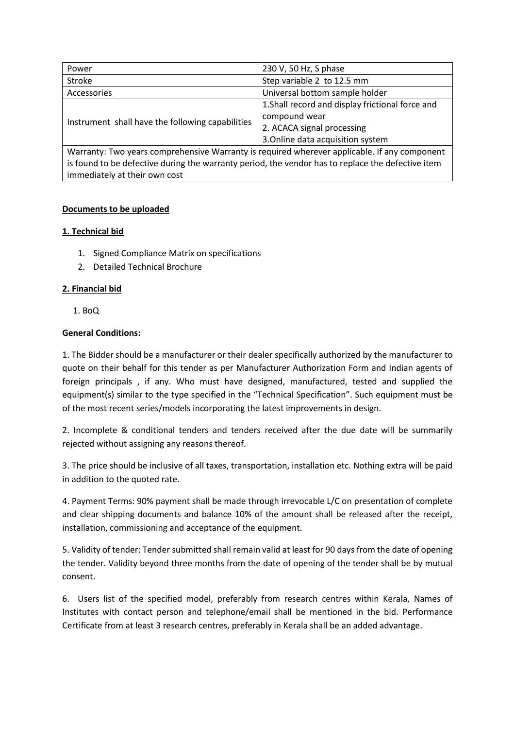| Power                                                                                        | 230 V, 50 Hz, S phase                            |
|----------------------------------------------------------------------------------------------|--------------------------------------------------|
| <b>Stroke</b>                                                                                | Step variable 2 to 12.5 mm                       |
| Accessories                                                                                  | Universal bottom sample holder                   |
| Instrument shall have the following capabilities                                             | 1. Shall record and display frictional force and |
|                                                                                              | compound wear                                    |
|                                                                                              | 2. ACACA signal processing                       |
|                                                                                              | 3. Online data acquisition system                |
| Warranty: Two years comprehensive Warranty is required wherever applicable. If any component |                                                  |

Warranty: Two years comprehensive Warranty is required wherever applicable. If any component is found to be defective during the warranty period, the vendor has to replace the defective item immediately at their own cost

# **Documents to be uploaded**

# **1. Technical bid**

- 1. Signed Compliance Matrix on specifications
- 2. Detailed Technical Brochure

# **2. Financial bid**

1. BoQ

### **General Conditions:**

1. The Bidder should be a manufacturer or their dealer specifically authorized by the manufacturer to quote on their behalf for this tender as per Manufacturer Authorization Form and Indian agents of foreign principals , if any. Who must have designed, manufactured, tested and supplied the equipment(s) similar to the type specified in the "Technical Specification". Such equipment must be of the most recent series/models incorporating the latest improvements in design.

2. Incomplete & conditional tenders and tenders received after the due date will be summarily rejected without assigning any reasons thereof.

3. The price should be inclusive of all taxes, transportation, installation etc. Nothing extra will be paid in addition to the quoted rate.

4. Payment Terms: 90% payment shall be made through irrevocable L/C on presentation of complete and clear shipping documents and balance 10% of the amount shall be released after the receipt, installation, commissioning and acceptance of the equipment.

5. Validity of tender: Tender submitted shall remain valid at least for 90 days from the date of opening the tender. Validity beyond three months from the date of opening of the tender shall be by mutual consent.

6. Users list of the specified model, preferably from research centres within Kerala, Names of Institutes with contact person and telephone/email shall be mentioned in the bid. Performance Certificate from at least 3 research centres, preferably in Kerala shall be an added advantage.